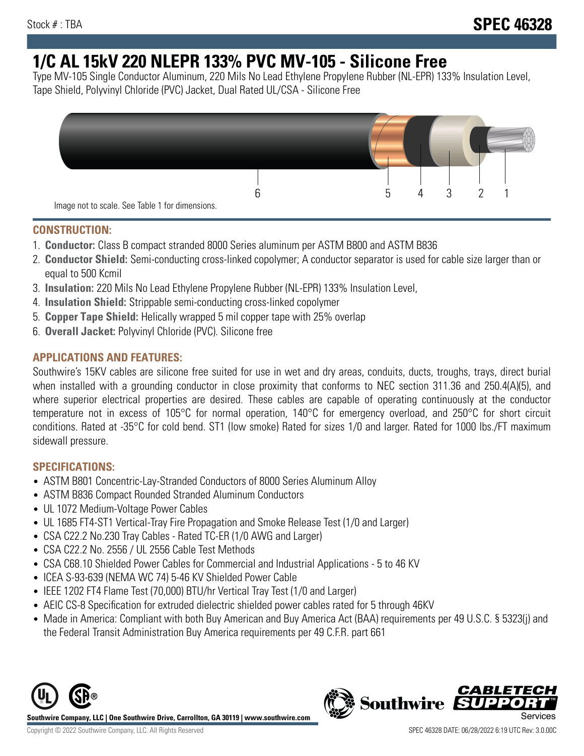# **1/C AL 15kV 220 NLEPR 133% PVC MV-105 - Silicone Free**

Type MV-105 Single Conductor Aluminum, 220 Mils No Lead Ethylene Propylene Rubber (NL-EPR) 133% Insulation Level, Tape Shield, Polyvinyl Chloride (PVC) Jacket, Dual Rated UL/CSA - Silicone Free



#### **CONSTRUCTION:**

- 1. **Conductor:** Class B compact stranded 8000 Series aluminum per ASTM B800 and ASTM B836
- 2. **Conductor Shield:** Semi-conducting cross-linked copolymer; A conductor separator is used for cable size larger than or equal to 500 Kcmil
- 3. **Insulation:** 220 Mils No Lead Ethylene Propylene Rubber (NL-EPR) 133% Insulation Level,
- 4. **Insulation Shield:** Strippable semi-conducting cross-linked copolymer
- 5. **Copper Tape Shield:** Helically wrapped 5 mil copper tape with 25% overlap
- 6. **Overall Jacket:** Polyvinyl Chloride (PVC). Silicone free

### **APPLICATIONS AND FEATURES:**

Southwire's 15KV cables are silicone free suited for use in wet and dry areas, conduits, ducts, troughs, trays, direct burial when installed with a grounding conductor in close proximity that conforms to NEC section 311.36 and 250.4(A)(5), and where superior electrical properties are desired. These cables are capable of operating continuously at the conductor temperature not in excess of 105°C for normal operation, 140°C for emergency overload, and 250°C for short circuit conditions. Rated at -35°C for cold bend. ST1 (low smoke) Rated for sizes 1/0 and larger. Rated for 1000 lbs./FT maximum sidewall pressure.

### **SPECIFICATIONS:**

- ASTM B801 Concentric-Lay-Stranded Conductors of 8000 Series Aluminum Alloy
- ASTM B836 Compact Rounded Stranded Aluminum Conductors
- UL 1072 Medium-Voltage Power Cables
- UL 1685 FT4-ST1 Vertical-Tray Fire Propagation and Smoke Release Test (1/0 and Larger)
- CSA C22.2 No.230 Tray Cables Rated TC-ER (1/0 AWG and Larger)
- CSA C22.2 No. 2556 / UL 2556 Cable Test Methods
- CSA C68.10 Shielded Power Cables for Commercial and Industrial Applications 5 to 46 KV
- ICEA S-93-639 (NEMA WC 74) 5-46 KV Shielded Power Cable
- IEEE 1202 FT4 Flame Test (70,000) BTU/hr Vertical Tray Test (1/0 and Larger)
- AEIC CS-8 Specification for extruded dielectric shielded power cables rated for 5 through 46KV
- Made in America: Compliant with both Buy American and Buy America Act (BAA) requirements per 49 U.S.C. § 5323(j) and the Federal Transit Administration Buy America requirements per 49 C.F.R. part 661





*CABLET*